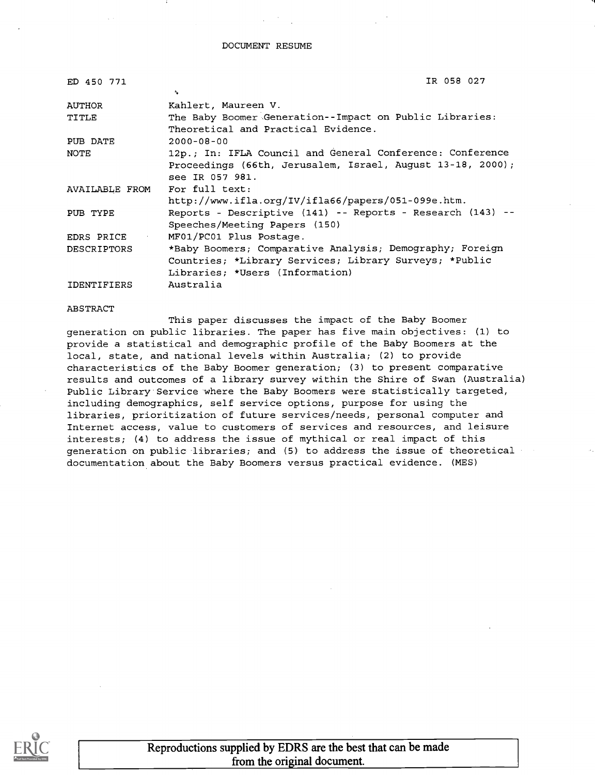#### DOCUMENT RESUME

| ED 450 771         | IR 058 027                                                 |
|--------------------|------------------------------------------------------------|
|                    | ۰.                                                         |
| <b>AUTHOR</b>      | Kahlert, Maureen V.                                        |
| TITLE              | The Baby Boomer Generation--Impact on Public Libraries:    |
|                    | Theoretical and Practical Evidence.                        |
| PUB DATE           | $2000 - 08 - 00$                                           |
| NOTE               | 12p.; In: IFLA Council and General Conference: Conference  |
|                    | Proceedings (66th, Jerusalem, Israel, August 13-18, 2000); |
|                    | see IR 057 981.                                            |
| AVAILABLE FROM     | For full text:                                             |
|                    | http://www.ifla.org/IV/ifla66/papers/051-099e.htm.         |
| PUB TYPE           | Reports - Descriptive (141) -- Reports - Research (143) -- |
|                    | Speeches/Meeting Papers (150)                              |
| EDRS PRICE         | MF01/PC01 Plus Postage.                                    |
| <b>DESCRIPTORS</b> | *Baby Boomers; Comparative Analysis; Demography; Foreign   |
|                    | Countries; *Library Services; Library Surveys; *Public     |
|                    | Libraries; *Users (Information)                            |
| <b>IDENTIFIERS</b> | Australia                                                  |

ABSTRACT

This paper discusses the impact of the Baby Boomer generation on public libraries. The paper has five main objectives: (1) to provide a statistical and demographic profile of the Baby Boomers at the local, state, and national levels within Australia; (2) to provide characteristics of the Baby Boomer generation; (3) to present comparative results and outcomes of a library survey within the Shire of Swan (Australia) Public Library Service where the Baby Boomers were statistically targeted, including demographics, self service options, purpose for using the libraries, prioritization of future services/needs, personal computer and Internet access, value to customers of services and resources, and leisure interests; (4) to address the issue of mythical or real impact of this generation on public libraries; and (5) to address the issue of theoretical documentation about the Baby Boomers versus practical evidence. (MES)

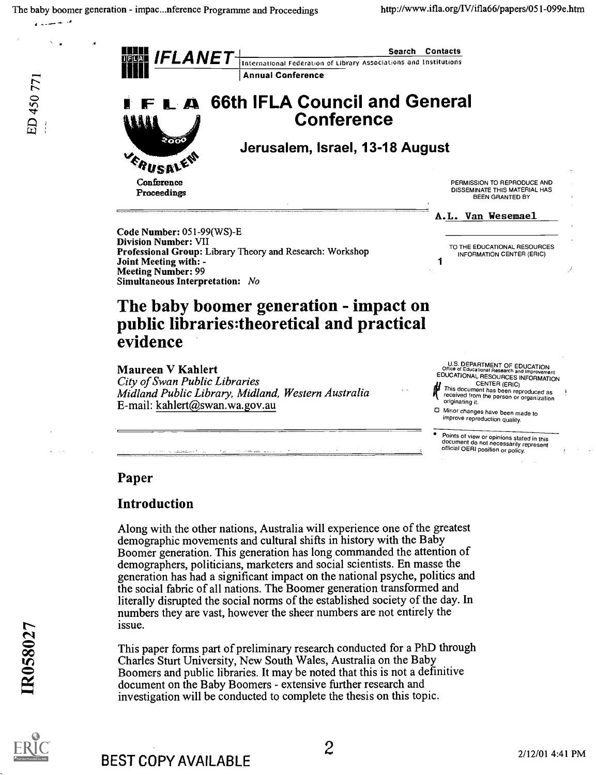فراند بيديدي



# Paper

# Introduction

the set of the set of the set of the set of the set of the set of the set of the set of the set of the set of the set of the set of the set of the set of the set of the set of the set of the set of the set of the set of th Along with the other nations, Australia will experience one of the greatest demographic movements and cultural shifts in history with the Baby Boomer generation. This generation has long commanded the attention of demographers, politicians, marketers and social scientists. En masse the generation has had a significant impact on the national psyche, politics and the social fabric of all nations. The Boomer generation transformed and literally disrupted the social norms of the established society of the day. In numbers they are vast, however the sheer numbers are not entirely the

O This paper forms part of preliminary research conducted for a PhD through Charles Sturt University, New South Wales, Australia on the Baby Boomers and public libraries. It may be noted that this is not a definitive document on the Baby Boomers - extensive further research and investigation will be conducted to complete the thesis on this topic.



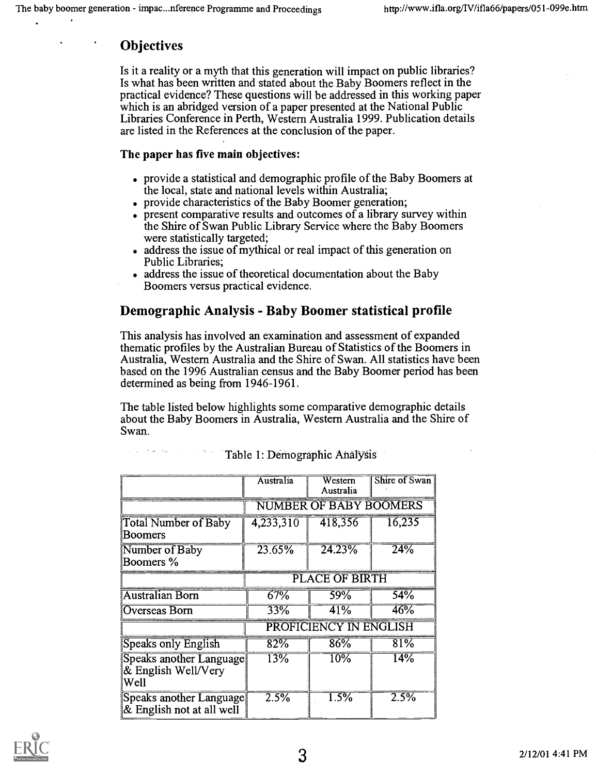# **Objectives**

 $\mathcal{L}^{\mathcal{A}}(\mathcal{L}^{\mathcal{A}}(\mathcal{A},\mathcal{Q}^{\mathcal{A}}))$  for  $\mathcal{L}^{\mathcal{A}}(\mathcal{A},\mathcal{Q}^{\mathcal{A}})$ 

Is it a reality or a myth that this generation will impact on public libraries? Is what has been written and stated about the Baby Boomers reflect in the practical evidence? These questions will be addressed in this working paper which is an abridged version of a paper presented at the National Public Libraries Conference in Perth, Western Australia 1999. Publication details are listed in the References at the conclusion of the paper.

#### The paper has five main objectives:

- . provide a statistical and demographic profile of the Baby Boomers at the local, state and national levels within Australia;
- . provide characteristics of the Baby Boomer generation;
- present comparative results and outcomes of a library survey within the Shire of Swan Public Library Service where the Baby Boomers were statistically targeted;
- address the issue of mythical or real impact of this generation on Public Libraries;
- address the issue of theoretical documentation about the Baby Boomers versus practical evidence.

# Demographic Analysis - Baby Boomer statistical profile

This analysis has involved an examination and assessment of expanded thematic profiles by the Australian Bureau of Statistics of the Boomers in Australia, Western Australia and the Shire of Swan. All statistics have been based on the 1996 Australian census and the Baby Boomer period has been determined as being from 1946-1961.

The table listed below highlights some comparative demographic details about the Baby Boomers in Australia, Western Australia and the Shire of Swan.

|                                                           | Australia                            | Western<br>Australia | Shire of Swan |
|-----------------------------------------------------------|--------------------------------------|----------------------|---------------|
|                                                           | <b>NUMBER OF BABY BOOMERS</b>        |                      |               |
| <b>Total Number of Baby</b><br>Boomers                    | 4,233,310                            | 418,356              | 16,235        |
| Number of Baby<br>Boomers %                               | 23.65%                               | 24.23%               | 24%           |
|                                                           | <b>PLACE OF BIRTH</b>                |                      |               |
| <b>Australian Born</b>                                    | 67%                                  | 59%                  | 54%           |
| Overseas Born                                             | 33%                                  | 41%                  | 46%           |
|                                                           | <b>ENGLISH</b><br><b>PROFICIENCY</b> |                      |               |
| <b>Speaks only English</b>                                | 82%                                  | 86%                  | 81%           |
| Speaks another Language<br>$\&$ English Well/Very<br>Well | 13%                                  | 10%                  | $14\%$        |
| Speaks another Language<br>$&$ English not at all well    | 2.5%                                 | 1.5%                 | 2.5%          |

Table 1: Demographic Analysis

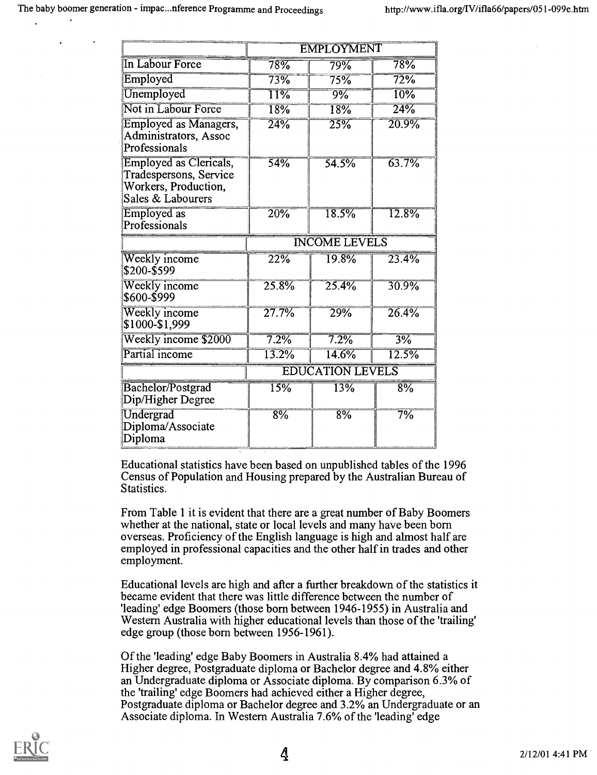|                                                                                               | <b>EMPLOYMENT</b>       |                    |                   |  |
|-----------------------------------------------------------------------------------------------|-------------------------|--------------------|-------------------|--|
| In Labour Force                                                                               | $78\%$                  | 79%                | 78%               |  |
| Employed                                                                                      | 73%                     | 75%                | 72%               |  |
| Unemployed                                                                                    | $\overline{11\%}$       | 9%                 | $\overline{10\%}$ |  |
| Not in Labour Force                                                                           | 18%                     | 18%                | 24%               |  |
| <b>Employed as Managers,</b><br>Administrators, Assoc<br>Professionals                        | 24%                     | $\overline{25\%}$  | 20.9%             |  |
| Employed as Clericals,<br>Tradespersons, Service<br>Workers, Production,<br>Sales & Labourers | 54%                     | $\frac{1}{54.5\%}$ | 63.7%             |  |
| Employed as<br>Professionals                                                                  | 20%                     | 18.5%              | 12.8%             |  |
|                                                                                               | <b>INCOME LEVELS</b>    |                    |                   |  |
| Weekly income<br>\$200-\$599                                                                  | 22%                     | 19.8%              | 23.4%             |  |
| Weekly income<br>\$600-\$999                                                                  | 25.8%                   | 25.4%              | 30.9%             |  |
| Weekly income<br>\$1000-\$1,999                                                               | 27.7%                   | 29%                | 26.4%             |  |
| Weekly income \$2000                                                                          | 7.2%                    | 7.2%               | $3\%$             |  |
| Partial income                                                                                | 13.2%                   | 14.6%              | 12.5%             |  |
|                                                                                               | <b>EDUCATION LEVELS</b> |                    |                   |  |
| Bachelor/Postgrad<br>Dip/Higher Degree                                                        | 15%                     | 13%                | 8%                |  |
| Undergrad<br>Diploma/Associate<br>Diploma                                                     | 8%                      | 8%                 | 7%                |  |

Educational statistics have been based on unpublished tables of the 1996 Census of Population and Housing prepared by the Australian Bureau of Statistics.

From Table 1 it is evident that there are a great number of Baby Boomers whether at the national, state or local levels and many have been born overseas. Proficiency of the English language is high and almost half are employed in professional capacities and the other half in trades and other employment.

Educational levels are high and after a further breakdown of the statistics it became evident that there was little difference between the number of 'leading' edge Boomers (those born between 1946-1955) in Australia and Western Australia with higher educational levels than those of the 'trailing' edge group (those born between 1956-1961).

Of the 'leading' edge Baby Boomers in Australia 8.4% had attained a Higher degree, Postgraduate diploma or Bachelor degree and 4.8% either an Undergraduate diploma or Associate diploma. By comparison 6.3% of the 'trailing' edge Boomers had achieved either a Higher degree, Postgraduate diploma or Bachelor degree and 3.2% an Undergraduate or an Associate diploma. In Western Australia 7.6% of the 'leading' edge

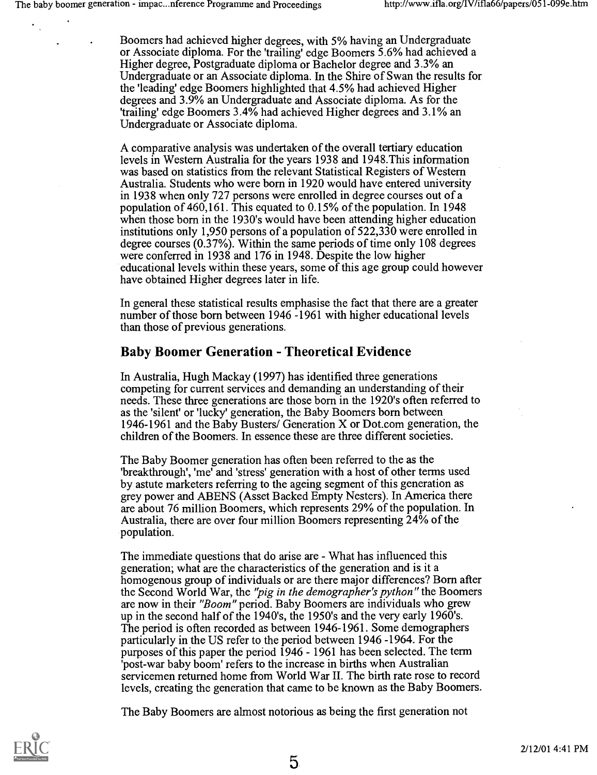Boomers had achieved higher degrees, with 5% having an Undergraduate or Associate diploma. For the 'trailing' edge Boomers 5.6% had achieved a Higher degree, Postgraduate diploma or Bachelor degree and 3.3% an Undergraduate or an Associate diploma. In the Shire of Swan the results for the 'leading' edge Boomers highlighted that 4.5% had achieved Higher degrees and 3.9% an Undergraduate and Associate diploma. As for the 'trailing' edge Boomers 3.4% had achieved Higher degrees and 3.1% an Undergraduate or Associate diploma.

A comparative analysis was undertaken of the overall tertiary education levels in Western Australia for the years 1938 and 1948.This information was based on statistics from the relevant Statistical Registers of Western Australia. Students who were born in 1920 would have entered university in 1938 when only 727 persons were enrolled in degree courses out of a population of 460,161. This equated to 0.15% of the population. In 1948 when those born in the 1930's would have been attending higher education institutions only 1,950 persons of a population of 522,330 were enrolled in degree courses (0.37%). Within the same periods of time only 108 degrees were conferred in 1938 and 176 in 1948. Despite the low higher educational levels within these years, some of this age group could however have obtained Higher degrees later in life.

In general these statistical results emphasise the fact that there are a greater number of those born between 1946 -1961 with higher educational levels than those of previous generations.

# Baby Boomer Generation - Theoretical Evidence

In Australia, Hugh Mackay (1997) has identified three generations competing for current services and demanding an understanding of their needs. These three generations are those born in the 1920's often referred to as the 'silent' or 'lucky' generation, the Baby Boomers born between 1946-1961 and the Baby Busters/ Generation X or Dot.com generation, the children of the Boomers. In essence these are three different societies.

The Baby Boomer generation has often been referred to the as the 'breakthrough', 'me' and 'stress' generation with a host of other terms used by astute marketers referring to the ageing segment of this generation as grey power and ABENS (Asset Backed Empty Nesters). In America there are about 76 million Boomers, which represents 29% of the population. In Australia, there are over four million Boomers representing 24% of the population.

The immediate questions that do arise are - What has influenced this generation; what are the characteristics of the generation and is it a homogenous group of individuals or are there major differences? Born after the Second World War, the 'pig in the demographer's python" the Boomers are now in their "Boom" period. Baby Boomers are individuals who grew up in the second half of the 1940's, the 1950's and the very early 1960's. The period is often recorded as between 1946-1961. Some demographers particularly in the US refer to the period between 1946 -1964. For the purposes of this paper the period 1946 - 1961 has been selected. The term 'post-war baby boom' refers to the increase in births when Australian servicemen returned home from World War II. The birth rate rose to record levels, creating the generation that came to be known as the Baby Boomers.

The Baby Boomers are almost notorious as being the first generation not

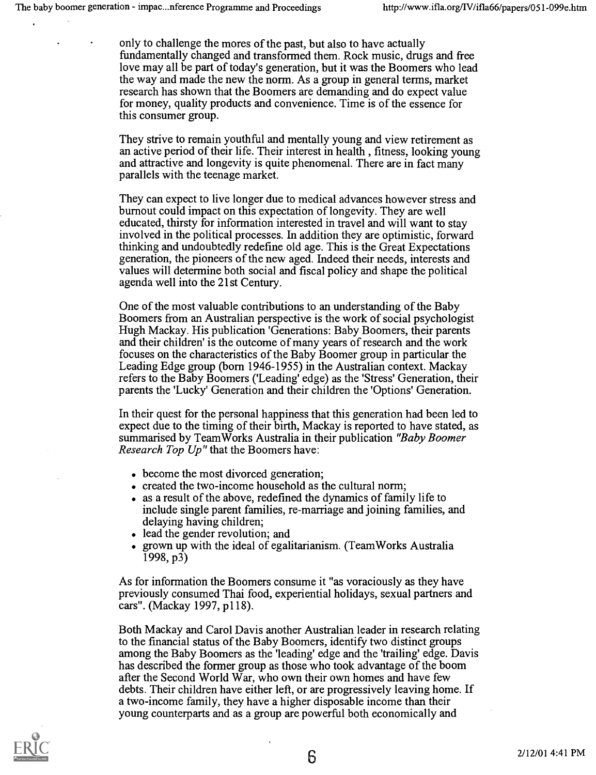only to challenge the mores of the past, but also to have actually fundamentally changed and transformed them. Rock music, drugs and free love may all be part of today's generation, but it was the Boomers who lead the way and made the new the norm. As a group in general terms, market research has shown that the Boomers are demanding and do expect value for money, quality products and convenience. Time is of the essence for this consumer group.

They strive to remain youthful and mentally young and view retirement as an active period of their life. Their interest in health , fitness, looking young and attractive and longevity is quite phenomenal. There are in fact many parallels with the teenage market.

They can expect to live longer due to medical advances however stress and burnout could impact on this expectation of longevity. They are well educated, thirsty for information interested in travel and will want to stay involved in the political processes. In addition they are optimistic, forward thinking and undoubtedly redefine old age. This is the Great Expectations generation, the pioneers of the new aged. Indeed their needs, interests and values will determine both social and fiscal policy and shape the political agenda well into the 21st Century.

One of the most valuable contributions to an understanding of the Baby Boomers from an Australian perspective is the work of social psychologist Hugh Mackay. His publication 'Generations: Baby Boomers, their parents and their children' is the outcome of many years of research and the work focuses on the characteristics of the Baby Boomer group in particular the Leading Edge group (born 1946-1955) in the Australian context. Mackay refers to the Baby Boomers ('Leading' edge) as the 'Stress' Generation, their parents the 'Lucky' Generation and their children the 'Options' Generation.

In their quest for the personal happiness that this generation had been led to expect due to the timing of their birth, Mackay is reported to have stated, as summarised by TeamWorks Australia in their publication "Baby Boomer Research Top Up" that the Boomers have:

- become the most divorced generation;
- created the two-income household as the cultural norm;
- as a result of the above, redefined the dynamics of family life to include single parent families, re-marriage and joining families, and delaying having children;
- lead the gender revolution; and
- grown up with the ideal of egalitarianism. (TeamWorks Australia  $(1998, p3)$

As for information the Boomers consume it "as voraciously as they have previously consumed Thai food, experiential holidays, sexual partners and cars". (Mackay 1997, p118).

Both Mackay and Carol Davis another Australian leader in research relating to the financial status of the Baby Boomers, identify two distinct groups among the Baby Boomers as the 'leading' edge and the 'trailing' edge. Davis has described the former group as those who took advantage of the boom after the Second World War, who own their own homes and have few debts. Their children have either left, or are progressively leaving home. If a two-income family, they have a higher disposable income than their young counterparts and as a group are powerful both economically and

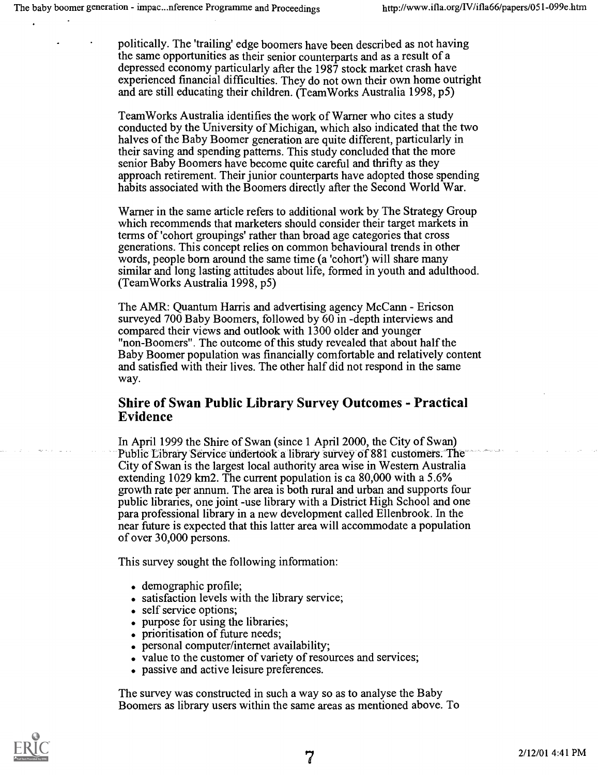politically. The 'trailing' edge boomers have been described as not having the same opportunities as their senior counterparts and as a result of a depressed economy particularly after the 1987 stock market crash have experienced financial difficulties. They do not own their own home outright and are still educating their children. (TeamWorks Australia 1998, p5)

TeamWorks Australia identifies the work of Warner who cites a study conducted by the University of Michigan, which also indicated that the two halves of the Baby Boomer generation are quite different, particularly in their saving and spending patterns. This study concluded that the more senior Baby Boomers have become quite careful and thrifty as they approach retirement. Their junior counterparts have adopted those spending habits associated with the Boomers directly after the Second World War.

Warner in the same article refers to additional work by The Strategy Group which recommends that marketers should consider their target markets in terms of 'cohort groupings' rather than broad age categories that cross generations. This concept relies on common behavioural trends in other words, people born around the same time (a 'cohort') will share many similar and long lasting attitudes about life, formed in youth and adulthood. (TeamWorks Australia 1998, p5)

The AMR: Quantum Harris and advertising agency McCann - Ericson surveyed 700 Baby Boomers, followed by 60 in -depth interviews and compared their views and outlook with 1300 older and younger "non-Boomers". The outcome of this study revealed that about half the Baby Boomer population was financially comfortable and relatively content and satisfied with their lives. The other half did not respond in the same way.

#### Shire of Swan Public Library Survey Outcomes - Practical Evidence

In April 1999 the Shire of Swan (since 1 April 2000, the City of Swan) Public Library Service undertook a library survey of 881 customers. The City of Swan is the largest local authority area wise in Western Australia extending 1029 km2. The current population is ca 80,000 with a 5.6% growth rate per annum. The area is both rural and urban and supports four public libraries, one joint -use library with a District High School and one para professional library in a new development called Ellenbrook. In the near future is expected that this latter area will accommodate a population of over 30,000 persons.

This survey sought the following information:

- . demographic profile;
- . satisfaction levels with the library service;
- . self service options;
- . purpose for using the libraries;
- . prioritisation of future needs;
- personal computer/internet availability;
- value to the customer of variety of resources and services;
- . passive and active leisure preferences.

The survey was constructed in such a way so as to analyse the Baby Boomers as library users within the same areas as mentioned above. To

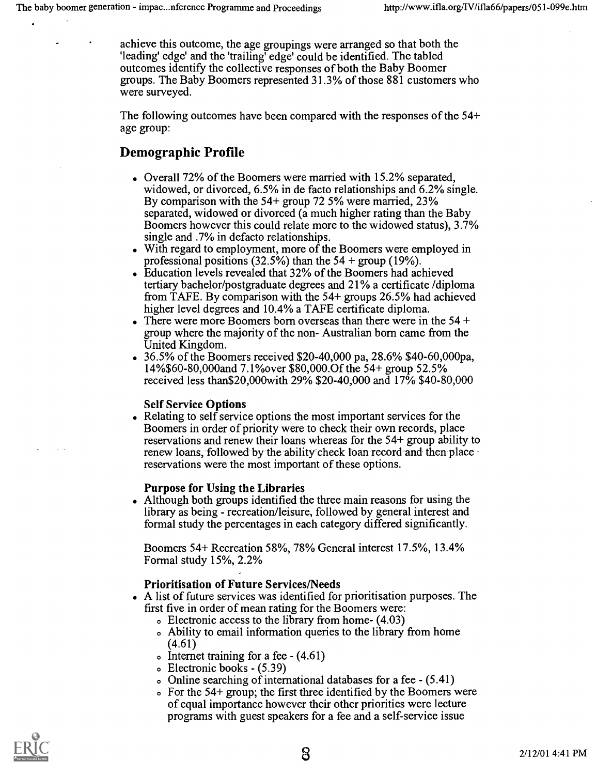achieve this outcome, the age groupings were arranged so that both the 'leading' edge' and the 'trailing' edge' could be identified. The tabled outcomes identify the collective responses of both the Baby Boomer groups. The Baby Boomers represented 31.3% of those 881 customers who were surveyed.

The following outcomes have been compared with the responses of the 54+ age group:

# Demographic Profile

- . Overall 72% of the Boomers were married with 15.2% separated, widowed, or divorced, 6.5% in de facto relationships and 6.2% single. By comparison with the 54+ group 72 5% were married, 23% separated, widowed or divorced (a much higher rating than the Baby Boomers however this could relate more to the widowed status), 3.7% single and .7% in defacto relationships.
- . With regard to employment, more of the Boomers were employed in professional positions (32.5%) than the  $54 + \text{group} (19\%)$ .
- Education levels revealed that 32% of the Boomers had achieved tertiary bachelor/postgraduate degrees and 21% a certificate /diploma from TAFE. By comparison with the 54+ groups 26.5% had achieved higher level degrees and 10.4% a TAFE certificate diploma.
- There were more Boomers born overseas than there were in the 54 + group where the majority of the non- Australian born came from the United Kingdom.
- . 36.5% of the Boomers received \$20-40,000 pa, 28.6% \$40-60,000pa, 14%\$60-80,000and 7.1%over \$80,000.0f the 54+ group 52.5% received less than\$20,000with 29% \$20-40,000 and 17% \$40-80,000

#### Self Service Options

• Relating to self service options the most important services for the Boomers in order of priority were to check their own records, place reservations and renew their loans whereas for the 54+ group ability to renew loans, followed by the ability check loan record and then place reservations were the most important of these options.

#### Purpose for Using the Libraries

Although both groups identified the three main reasons for using the library as being - recreation/leisure, followed by general interest and formal study the percentages in each category differed significantly.

Boomers 54+ Recreation 58%, 78% General interest 17.5%, 13.4% Formal study 15%, 2.2%

#### Prioritisation of Future Services/Needs

- A list of future services was identified for prioritisation purposes. The first five in order of mean rating for the Boomers were:
	- o Electronic access to the library from home- (4.03)
	- o Ability to email information queries to the library from home (4.61)
	- o Internet training for a fee  $-(4.61)$
	- o Electronic books (5.39)
	- o Online searching of international databases for a fee (5.41)
	- o For the 54+ group; the first three identified by the Boomers were of equal importance however their other priorities were lecture programs with guest speakers for a fee and a self-service issue

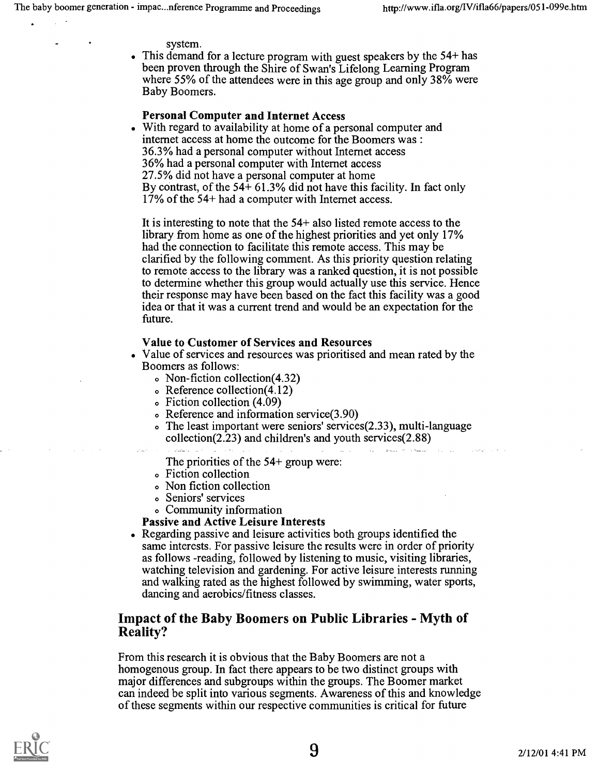system.

. This demand for a lecture program with guest speakers by the 54+ has been proven through the Shire of Swan's Lifelong Learning Program where 55% of the attendees were in this age group and only 38% were Baby Boomers.

#### Personal Computer and Internet Access

. With regard to availability at home of a personal computer and internet access at home the outcome for the Boomers was : 36.3% had a personal computer without Internet access 36% had a personal computer with Internet access 27.5% did not have a personal computer at home By contrast, of the  $54+61.3\%$  did not have this facility. In fact only 17% of the 54+ had a computer with Internet access.

It is interesting to note that the 54+ also listed remote access to the library from home as one of the highest priorities and yet only 17% had the connection to facilitate this remote access. This may be clarified by the following comment. As this priority question relating to remote access to the library was a ranked question, it is not possible to determine whether this group would actually use this service. Hence their response may have been based on the fact this facility was a good idea or that it was a current trend and would be an expectation for the future.

#### Value to Customer of Services and Resources

- Value of services and resources was prioritised and mean rated by the Boomers as follows:
	- o Non-fiction collection(4.32)
	- o Reference collection(4.12)
	- o Fiction collection (4.09)
	- o Reference and information service(3.90)
	- o The least important were seniors' services(2.33), multi-language collection(2.23) and children's and youth services(2.88)

.<br>1962 – Bass P. Garden, franc

The priorities of the 54+ group were:

- o Fiction collection
- o Non fiction collection
- o Seniors' services
- o Community information

#### Passive and Active Leisure Interests

Regarding passive and leisure activities both groups identified the same interests. For passive leisure the results were in order of priority as follows -reading, followed by listening to music, visiting libraries, watching television and gardening. For active leisure interests running and walking rated as the highest followed by swimming, water sports, dancing and aerobics/fitness classes.

## Impact of the Baby Boomers on Public Libraries - Myth of Reality?

From this research it is obvious that the Baby Boomers are not a homogenous group. In fact there appears to be two distinct groups with major differences and subgroups within the groups. The Boomer market can indeed be split into various segments. Awareness of this and knowledge of these segments within our respective communities is critical for future

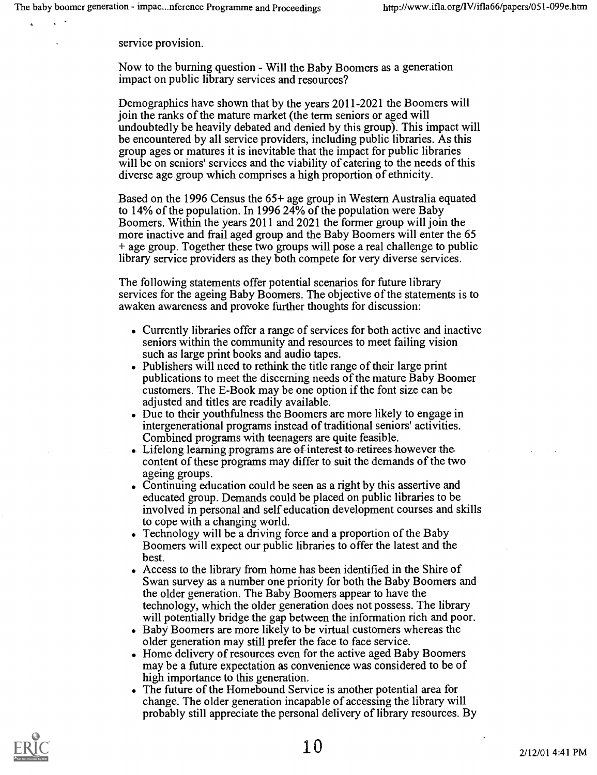service provision.

Now to the burning question - Will the Baby Boomers as a generation impact on public library services and resources?

Demographics have shown that by the years 2011-2021 the Boomers will join the ranks of the mature market (the term seniors or aged will undoubtedly be heavily debated and denied by this group). This impact will be encountered by all service providers, including public libraries. As this group ages or matures it is inevitable that the impact for public libraries will be on seniors' services and the viability of catering to the needs of this diverse age group which comprises a high proportion of ethnicity.

Based on the 1996 Census the 65+ age group in Western Australia equated to 14% of the population. In 1996 24% of the population were Baby Boomers. Within the years 2011 and 2021 the former group will join the more inactive and frail aged group and the Baby Boomers will enter the 65 + age group. Together these two groups will pose a real challenge to public library service providers as they both compete for very diverse services.

The following statements offer potential scenarios for future library services for the ageing Baby Boomers. The objective of the statements is to awaken awareness and provoke further thoughts for discussion:

- Currently libraries offer a range of services for both active and inactive seniors within the community and resources to meet failing vision such as large print books and audio tapes.
- Publishers will need to rethink the title range of their large print publications to meet the discerning needs of the mature Baby Boomer customers. The E-Book may be one option if the font size can be adjusted and titles are readily available.
- Due to their youthfulness the Boomers are more likely to engage in intergenerational programs instead of traditional seniors' activities. Combined programs with teenagers are quite feasible.
- Lifelong learning programs are of interest to retirees however the content of these programs may differ to suit the demands of the two ageing groups.
- Continuing education could be seen as a right by this assertive and educated group. Demands could be placed on public libraries to be involved in personal and self education development courses and skills to cope with a changing world.
- Technology will be a driving force and a proportion of the Baby Boomers will expect our public libraries to offer the latest and the best.
- Access to the library from home has been identified in the Shire of Swan survey as a number one priority for both the Baby Boomers and the older generation. The Baby Boomers appear to have the technology, which the older generation does not possess. The library will potentially bridge the gap between the information rich and poor.
- Baby Boomers are more likely to be virtual customers whereas the older generation may still prefer the face to face service.
- Home delivery of resources even for the active aged Baby Boomers may be a future expectation as convenience was considered to be of high importance to this generation.
- The future of the Homebound Service is another potential area for change. The older generation incapable of accessing the library will probably still appreciate the personal delivery of library resources. By

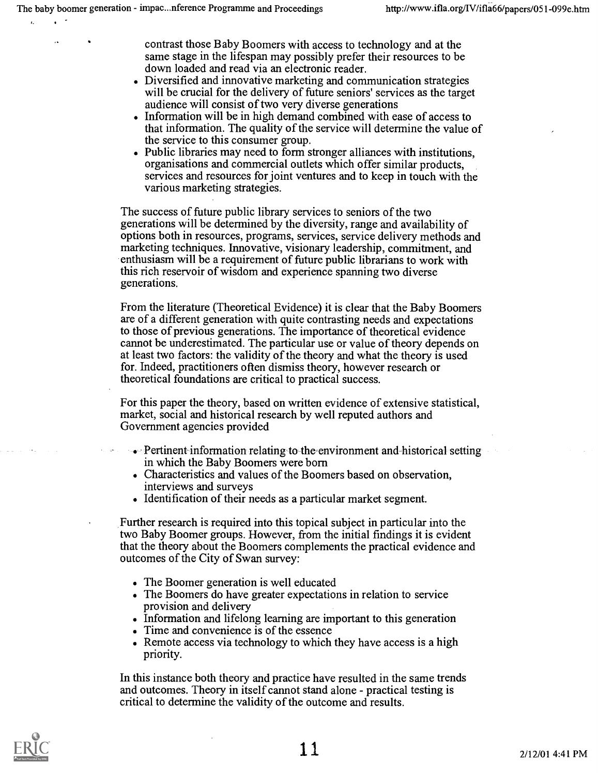contrast those Baby Boomers with access to technology and at the same stage in the lifespan may possibly prefer their resources to be down loaded and read via an electronic reader.

- . Diversified and innovative marketing and communication strategies will be crucial for the delivery of future seniors' services as the target audience will consist of two very diverse generations
- . Information will be in high demand combined with ease of access to that information. The quality of the service will determine the value of the service to this consumer group.
- . Public libraries may need to form stronger alliances with institutions, organisations and commercial outlets which offer similar products, services and resources for joint ventures and to keep in touch with the various marketing strategies.

The success of future public library services to seniors of the two generations will be determined by the diversity, range and availability of options both in resources, programs, services, service delivery methods and marketing techniques. Innovative, visionary leadership, commitment, and enthusiasm will be a requirement of future public librarians to work with this rich reservoir of wisdom and experience spanning two diverse generations.

From the literature (Theoretical Evidence) it is clear that the Baby Boomers are of a different generation with quite contrasting needs and expectations to those of previous generations. The importance of theoretical evidence cannot be underestimated. The particular use or value of theory depends on at least two factors: the validity of the theory and what the theory is used for. Indeed, practitioners often dismiss theory, however research or theoretical foundations are critical to practical success.

For this paper the theory, based on written evidence of extensive statistical, market, social and historical research by well reputed authors and Government agencies provided

- Pertinent information relating to the environment and historical setting in which the Baby Boomers were born
- Characteristics and values of the Boomers based on observation, interviews and surveys
- Identification of their needs as a particular market segment.

Further research is required into this topical subject in particular into the two Baby Boomer groups. However, from the initial findings it is evident that the theory about the Boomers complements the practical evidence and outcomes of the City of Swan survey:

- The Boomer generation is well educated
- The Boomers do have greater expectations in relation to service provision and delivery
- Information and lifelong learning are important to this generation
- . Time and convenience is of the essence
- . Remote access via technology to which they have access is a high priority.

In this instance both theory and practice have resulted in the same trends and outcomes. Theory in itself cannot stand alone - practical testing is critical to determine the validity of the outcome and results.

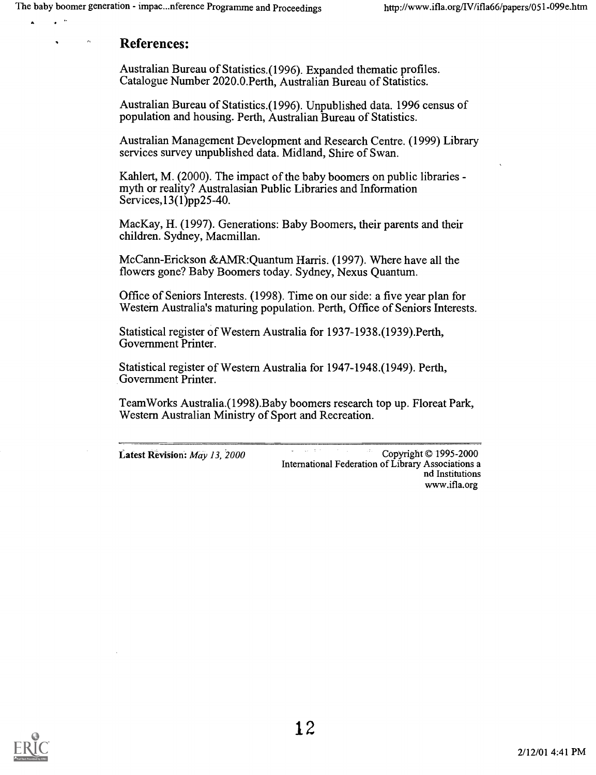## References:

 $\ddot{\phantom{1}}$ 

 $\hat{\mathbf{z}}$ 

Australian Bureau of Statistics.(1996). Expanded thematic profiles. Catalogue Number 2020.0.Perth, Australian Bureau of Statistics.

Australian Bureau of Statistics.(1996). Unpublished data. 1996 census of population and housing. Perth, Australian Bureau of Statistics.

Australian Management Development and Research Centre. (1999) Library services survey unpublished data. Midland, Shire of Swan.

Kahlert, M. (2000). The impact of the baby boomers on public libraries - myth or reality? Australasian Public Libraries and Information Services,13(1)pp25-40.

MacKay, H. (1997). Generations: Baby Boomers, their parents and their children. Sydney, Macmillan.

McCann-Erickson &AMR:Quantum Harris. (1997). Where have all the flowers gone? Baby Boomers today. Sydney, Nexus Quantum.

Office of Seniors Interests. (1998). Time on our side: a five year plan for Western Australia's maturing population. Perth, Office of Seniors Interests.

Statistical register of Western Australia for 1937-1938.(1939).Perth, Government Printer.

Statistical register of Western Australia for 1947-1948.(1949). Perth, Government Printer.

TeamWorks Australia.(1998).Baby boomers research top up. Floreat Park, Western Australian Ministry of Sport and Recreation.

Latest Revision: May 13, 2000 International Federation of Library Associations a nd Institutions www.ifla.org